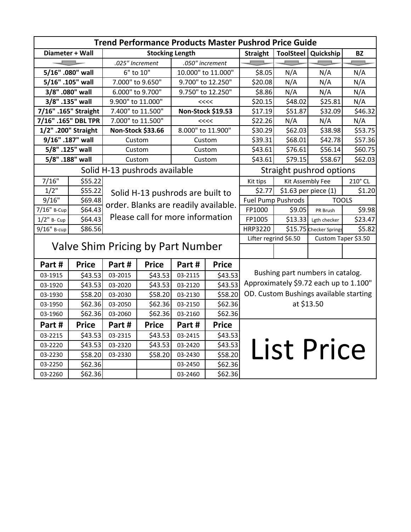| <b>Trend Performance Products Master Pushrod Price Guide</b> |                      |                                                                          |                        |                    |                   |                                              |                                    |                         |           |  |
|--------------------------------------------------------------|----------------------|--------------------------------------------------------------------------|------------------------|--------------------|-------------------|----------------------------------------------|------------------------------------|-------------------------|-----------|--|
| Diameter + Wall                                              |                      |                                                                          | <b>Stocking Length</b> |                    |                   | <b>Straight</b>                              |                                    | ToolSteel   Quickship   | <b>BZ</b> |  |
|                                                              |                      | .025" Increment                                                          |                        | .050" increment    |                   |                                              |                                    |                         |           |  |
| 5/16" .080" wall                                             |                      | 6" to 10"                                                                |                        | 10.000" to 11.000" |                   | \$8.05                                       | N/A                                | N/A                     | N/A       |  |
| 5/16" .105" wall                                             |                      |                                                                          | 7.000" to 9.650"       |                    | 9.700" to 12.250" |                                              | N/A                                | N/A                     | N/A       |  |
| 3/8" .080" wall                                              |                      | 6.000" to 9.700"                                                         |                        | 9.750" to 12.250"  |                   | \$8.86                                       | N/A                                | N/A                     | N/A       |  |
| 3/8" .135" wall                                              |                      | 9.900" to 11.000"                                                        |                        | <<                 |                   | \$20.15                                      | \$48.02                            | \$25.81                 | N/A       |  |
| 7/16" .165" Straight                                         |                      | 7.400" to 11.500"                                                        |                        | Non-Stock \$19.53  |                   | \$17.19                                      | \$51.87                            | \$32.09                 | \$46.32   |  |
| 7/16" .165" DBL TPR                                          |                      | 7.000" to 11.500"                                                        |                        | <<                 |                   | \$22.26                                      | N/A                                | N/A                     | N/A       |  |
| 1/2" .200" Straight                                          |                      | Non-Stock \$33.66                                                        |                        | 8.000" to 11.900"  |                   | \$30.29                                      | \$62.03                            | \$38.98                 | \$53.75   |  |
|                                                              | 9/16" .187" wall     |                                                                          | Custom                 |                    | Custom            | \$39.31                                      | \$68.01                            | \$42.78                 | \$57.36   |  |
| 5/8" .125" wall                                              |                      | Custom                                                                   |                        | Custom             |                   | \$43.61                                      | \$76.61                            | \$56.14                 | \$60.75   |  |
|                                                              | 5/8" .188" wall      |                                                                          | Custom                 |                    | Custom            | \$43.61                                      | \$79.15                            | \$58.67                 | \$62.03   |  |
|                                                              |                      | Solid H-13 pushrods available                                            |                        |                    |                   | Straight pushrod options                     |                                    |                         |           |  |
| 7/16"                                                        | \$55.22              |                                                                          |                        |                    |                   | Kit tips                                     | Kit Assembly Fee                   |                         | 210° CL   |  |
| $1/2$ "                                                      | \$55.22              | Solid H-13 pushrods are built to                                         |                        |                    |                   | \$2.77                                       |                                    | \$1.63 per piece (1)    | \$1.20    |  |
| 9/16"                                                        | \$69.48              |                                                                          |                        |                    |                   |                                              | <b>TOOLS</b><br>Fuel Pump Pushrods |                         |           |  |
| 7/16" B-Cup                                                  | $\overline{\$64.43}$ | order. Blanks are readily available.<br>Please call for more information |                        |                    |                   | FP1000                                       | \$9.05                             | PR Brush                | \$9.98    |  |
| $1/2$ " B- Cup                                               | \$64.43              |                                                                          |                        |                    |                   | FP1005                                       | \$13.33                            | Lgth checker            | \$23.47   |  |
| 9/16" B-cup                                                  | \$86.56              | HRP3220                                                                  |                        |                    |                   |                                              |                                    | \$15.75 Checker Springs | \$5.82    |  |
|                                                              |                      | Valve Shim Pricing by Part Number                                        |                        |                    |                   | Lifter regrind \$6.50<br>Custom Taper \$3.50 |                                    |                         |           |  |
|                                                              |                      |                                                                          |                        |                    |                   |                                              |                                    |                         |           |  |
| Part#                                                        | <b>Price</b>         | Part#                                                                    | <b>Price</b>           | Part#              | <b>Price</b>      |                                              |                                    |                         |           |  |
| 03-1915                                                      | \$43.53              | 03-2015                                                                  | \$43.53                | 03-2115            | \$43.53           | Bushing part numbers in catalog.             |                                    |                         |           |  |
| 03-1920                                                      | \$43.53              | 03-2020                                                                  | \$43.53                | 03-2120            | \$43.53           | Approximately \$9.72 each up to 1.100"       |                                    |                         |           |  |
| 03-1930                                                      | \$58.20              | 03-2030                                                                  | \$58.20                | 03-2130            | \$58.20           | OD. Custom Bushings available starting       |                                    |                         |           |  |
| 03-1950                                                      | \$62.36              | 03-2050                                                                  | \$62.36                | 03-2150            | \$62.36           | at \$13.50                                   |                                    |                         |           |  |
| 03-1960                                                      | \$62.36              | 03-2060                                                                  | \$62.36                | 03-2160            | \$62.36           |                                              |                                    |                         |           |  |
| Part#                                                        | <b>Price</b>         | Part#                                                                    | <b>Price</b>           | Part#              | <b>Price</b>      |                                              |                                    |                         |           |  |
| 03-2215                                                      | \$43.53              | 03-2315                                                                  | \$43.53                | 03-2415            | \$43.53           |                                              |                                    |                         |           |  |
| 03-2220                                                      | \$43.53              | 03-2320                                                                  | \$43.53                | 03-2420            | \$43.53           |                                              |                                    |                         |           |  |
| 03-2230                                                      | \$58.20              | 03-2330                                                                  | \$58.20                | 03-2430            | \$58.20           |                                              |                                    | <b>List Price</b>       |           |  |
| 03-2250                                                      | \$62.36              |                                                                          |                        | 03-2450            | \$62.36           |                                              |                                    |                         |           |  |
| 03-2260                                                      | \$62.36              |                                                                          |                        | 03-2460            | \$62.36           |                                              |                                    |                         |           |  |